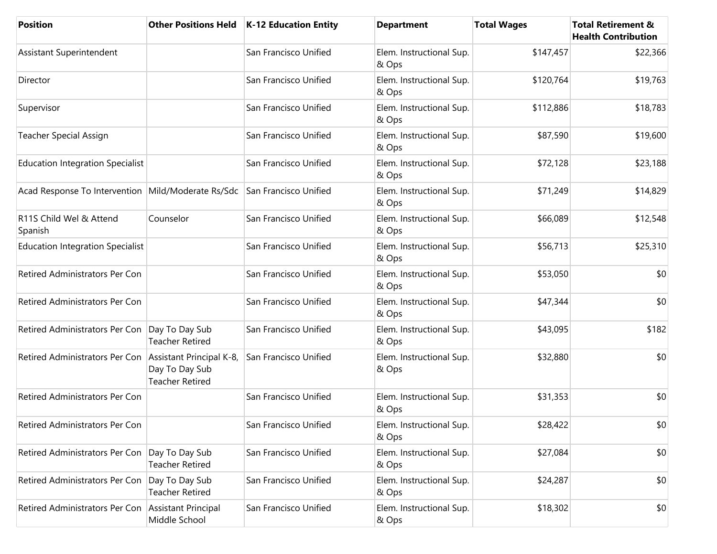| <b>Position</b>                                      |                                                                      | Other Positions Held   K-12 Education Entity | <b>Department</b>                 | <b>Total Wages</b> | <b>Total Retirement &amp;</b><br><b>Health Contribution</b> |
|------------------------------------------------------|----------------------------------------------------------------------|----------------------------------------------|-----------------------------------|--------------------|-------------------------------------------------------------|
| Assistant Superintendent                             |                                                                      | San Francisco Unified                        | Elem. Instructional Sup.<br>& Ops | \$147,457          | \$22,366                                                    |
| Director                                             |                                                                      | San Francisco Unified                        | Elem. Instructional Sup.<br>& Ops | \$120,764          | \$19,763                                                    |
| Supervisor                                           |                                                                      | San Francisco Unified                        | Elem. Instructional Sup.<br>& Ops | \$112,886          | \$18,783                                                    |
| <b>Teacher Special Assign</b>                        |                                                                      | San Francisco Unified                        | Elem. Instructional Sup.<br>& Ops | \$87,590           | \$19,600                                                    |
| <b>Education Integration Specialist</b>              |                                                                      | San Francisco Unified                        | Elem. Instructional Sup.<br>& Ops | \$72,128           | \$23,188                                                    |
| Acad Response To Intervention   Mild/Moderate Rs/Sdc |                                                                      | San Francisco Unified                        | Elem. Instructional Sup.<br>& Ops | \$71,249           | \$14,829                                                    |
| R11S Child Wel & Attend<br>Spanish                   | Counselor                                                            | San Francisco Unified                        | Elem. Instructional Sup.<br>& Ops | \$66,089           | \$12,548                                                    |
| <b>Education Integration Specialist</b>              |                                                                      | San Francisco Unified                        | Elem. Instructional Sup.<br>& Ops | \$56,713           | \$25,310                                                    |
| Retired Administrators Per Con                       |                                                                      | San Francisco Unified                        | Elem. Instructional Sup.<br>& Ops | \$53,050           | \$0                                                         |
| Retired Administrators Per Con                       |                                                                      | San Francisco Unified                        | Elem. Instructional Sup.<br>& Ops | \$47,344           | \$0                                                         |
| Retired Administrators Per Con                       | Day To Day Sub<br><b>Teacher Retired</b>                             | San Francisco Unified                        | Elem. Instructional Sup.<br>& Ops | \$43,095           | \$182                                                       |
| Retired Administrators Per Con                       | Assistant Principal K-8,<br>Day To Day Sub<br><b>Teacher Retired</b> | San Francisco Unified                        | Elem. Instructional Sup.<br>& Ops | \$32,880           | \$0                                                         |
| Retired Administrators Per Con                       |                                                                      | San Francisco Unified                        | Elem. Instructional Sup.<br>& Ops | \$31,353           | \$0                                                         |
| Retired Administrators Per Con                       |                                                                      | San Francisco Unified                        | Elem. Instructional Sup.<br>& Ops | \$28,422           | \$0                                                         |
| Retired Administrators Per Con                       | Day To Day Sub<br><b>Teacher Retired</b>                             | San Francisco Unified                        | Elem. Instructional Sup.<br>& Ops | \$27,084           | \$0                                                         |
| Retired Administrators Per Con                       | Day To Day Sub<br><b>Teacher Retired</b>                             | San Francisco Unified                        | Elem. Instructional Sup.<br>& Ops | \$24,287           | \$0                                                         |
| Retired Administrators Per Con                       | Assistant Principal<br>Middle School                                 | San Francisco Unified                        | Elem. Instructional Sup.<br>& Ops | \$18,302           | \$0                                                         |